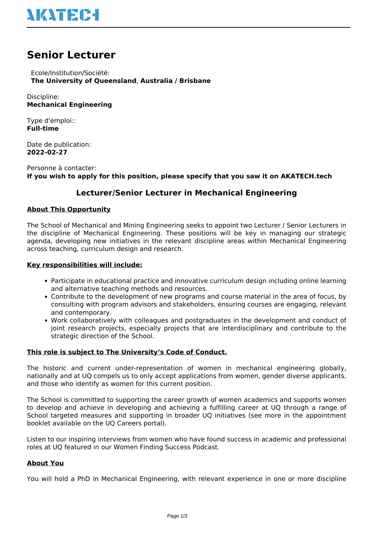

# **Senior Lecturer**

 Ecole/Institution/Société: **The University of Queensland**, **Australia / Brisbane**

Discipline: **Mechanical Engineering**

Type d'emploi:: **Full-time**

Date de publication: **2022-02-27**

Personne à contacter: **If you wish to apply for this position, please specify that you saw it on AKATECH.tech**

# **Lecturer/Senior Lecturer in Mechanical Engineering**

# **About This Opportunity**

The School of Mechanical and Mining Engineering seeks to appoint two Lecturer / Senior Lecturers in the discipline of Mechanical Engineering. These positions will be key in managing our strategic agenda, developing new initiatives in the relevant discipline areas within Mechanical Engineering across teaching, curriculum design and research.

#### **Key responsibilities will include:**

- Participate in educational practice and innovative curriculum design including online learning and alternative teaching methods and resources.
- Contribute to the development of new programs and course material in the area of focus, by consulting with program advisors and stakeholders, ensuring courses are engaging, relevant and contemporary.
- Work collaboratively with colleagues and postgraduates in the development and conduct of joint research projects, especially projects that are interdisciplinary and contribute to the strategic direction of the School.

#### **This role is subject to The University's Code of Conduct.**

The historic and current under-representation of women in mechanical engineering globally, nationally and at UQ compels us to only accept applications from women, gender diverse applicants, and those who identify as women for this current position.

The School is committed to supporting the career growth of women academics and supports women to develop and achieve in developing and achieving a fulfilling career at UQ through a range of School targeted measures and supporting in broader UQ initiatives (see more in the appointment booklet available on the UQ Careers portal).

Listen to our inspiring interviews from women who have found success in academic and professional roles at UQ featured in our Women Finding Success Podcast.

# **About You**

You will hold a PhD in Mechanical Engineering, with relevant experience in one or more discipline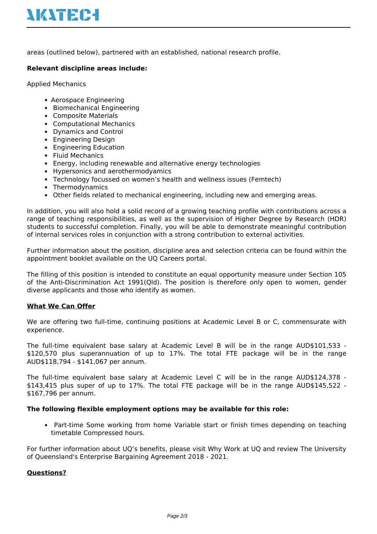areas (outlined below), partnered with an established, national research profile.

# **Relevant discipline areas include:**

Applied Mechanics

- Aerospace Engineering
- Biomechanical Engineering
- Composite Materials
- Computational Mechanics
- Dynamics and Control
- Engineering Design
- Engineering Education
- Fluid Mechanics
- Energy, including renewable and alternative energy technologies
- Hypersonics and aerothermodyamics
- Technology focussed on women's health and wellness issues (Femtech)
- Thermodynamics
- Other fields related to mechanical engineering, including new and emerging areas.

In addition, you will also hold a solid record of a growing teaching profile with contributions across a range of teaching responsibilities, as well as the supervision of Higher Degree by Research (HDR) students to successful completion. Finally, you will be able to demonstrate meaningful contribution of internal services roles in conjunction with a strong contribution to external activities.

Further information about the position, discipline area and selection criteria can be found within the appointment booklet available on the UQ Careers portal.

The filling of this position is intended to constitute an equal opportunity measure under Section 105 of the Anti-Discrimination Act 1991(Qld). The position is therefore only open to women, gender diverse applicants and those who identify as women.

# **What We Can Offer**

We are offering two full-time, continuing positions at Academic Level B or C, commensurate with experience.

The full-time equivalent base salary at Academic Level B will be in the range AUD\$101,533 - \$120,570 plus superannuation of up to 17%. The total FTE package will be in the range AUD\$118,794 - \$141,067 per annum.

The full-time equivalent base salary at Academic Level C will be in the range AUD\$124,378 - \$143,415 plus super of up to 17%. The total FTE package will be in the range AUD\$145,522 - \$167,796 per annum.

# **The following flexible employment options may be available for this role:**

Part-time Some working from home Variable start or finish times depending on teaching timetable Compressed hours.

For further information about UQ's benefits, please visit Why Work at UQ and review The University of Queensland's Enterprise Bargaining Agreement 2018 - 2021.

# **Questions?**